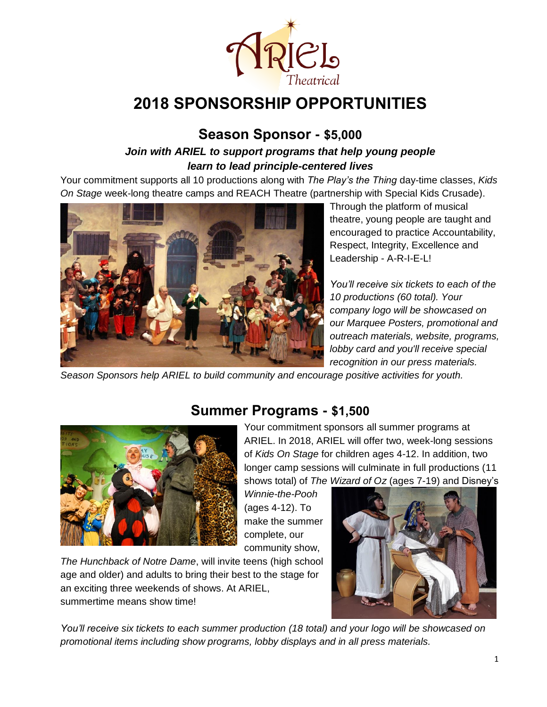

# **2018 SPONSORSHIP OPPORTUNITIES**

### **Season Sponsor - \$5,000**

#### *Join with ARIEL to support programs that help young people learn to lead principle-centered lives*

Your commitment supports all 10 productions along with *The Play's the Thing* day-time classes, *Kids On Stage* week-long theatre camps and REACH Theatre (partnership with Special Kids Crusade).



Through the platform of musical theatre, young people are taught and encouraged to practice Accountability, Respect, Integrity, Excellence and Leadership - A-R-I-E-L!

*You'll receive six tickets to each of the 10 productions (60 total). Your company logo will be showcased on our Marquee Posters, promotional and outreach materials, website, programs, lobby card and you'll receive special recognition in our press materials.*

*Season Sponsors help ARIEL to build community and encourage positive activities for youth.*



### **Summer Programs - \$1,500**

Your commitment sponsors all summer programs at ARIEL. In 2018, ARIEL will offer two, week-long sessions of *Kids On Stage* for children ages 4-12. In addition, two longer camp sessions will culminate in full productions (11 shows total) of *The Wizard of Oz* (ages 7-19) and Disney's

*Winnie-the-Pooh* (ages 4-12). To make the summer complete, our community show,

*The Hunchback of Notre Dame*, will invite teens (high school age and older) and adults to bring their best to the stage for an exciting three weekends of shows. At ARIEL, summertime means show time!



*You'll receive six tickets to each summer production (18 total) and your logo will be showcased on promotional items including show programs, lobby displays and in all press materials.*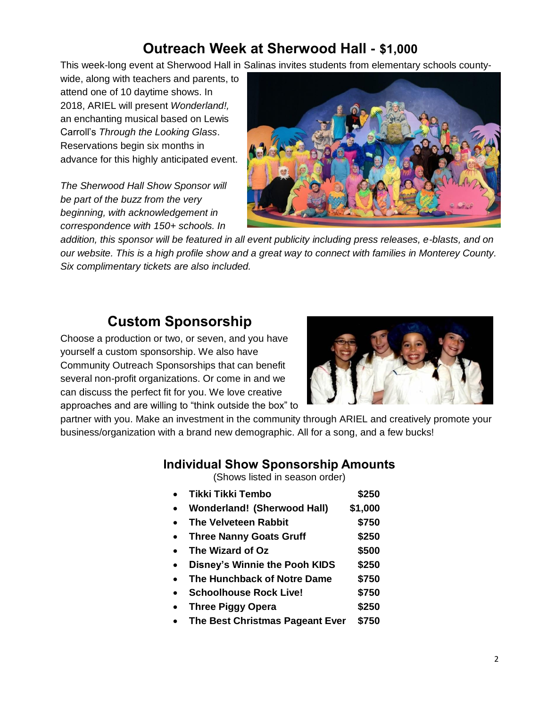## **Outreach Week at Sherwood Hall - \$1,000**

This week-long event at Sherwood Hall in Salinas invites students from elementary schools county-

wide, along with teachers and parents, to attend one of 10 daytime shows. In 2018, ARIEL will present *Wonderland!,* an enchanting musical based on Lewis Carroll's *Through the Looking Glass*. Reservations begin six months in advance for this highly anticipated event.

*The Sherwood Hall Show Sponsor will be part of the buzz from the very beginning, with acknowledgement in correspondence with 150+ schools. In* 



*addition, this sponsor will be featured in all event publicity including press releases, e-blasts, and on our website. This is a high profile show and a great way to connect with families in Monterey County. Six complimentary tickets are also included.*

## **Custom Sponsorship**

Choose a production or two, or seven, and you have yourself a custom sponsorship. We also have Community Outreach Sponsorships that can benefit several non-profit organizations. Or come in and we can discuss the perfect fit for you. We love creative approaches and are willing to "think outside the box" to



partner with you. Make an investment in the community through ARIEL and creatively promote your business/organization with a brand new demographic. All for a song, and a few bucks!

#### **Individual Show Sponsorship Amounts**

(Shows listed in season order)

- **Tikki Tikki Tembo \$250 Wonderland! (Sherwood Hall) \$1,000 The Velveteen Rabbit \$750 Three Nanny Goats Gruff \$250 The Wizard of Oz \$500 Disney's Winnie the Pooh KIDS \$250 The Hunchback of Notre Dame \$750 Schoolhouse Rock Live! \$750 Three Piggy Opera \$250**
- **The Best Christmas Pageant Ever \$750**